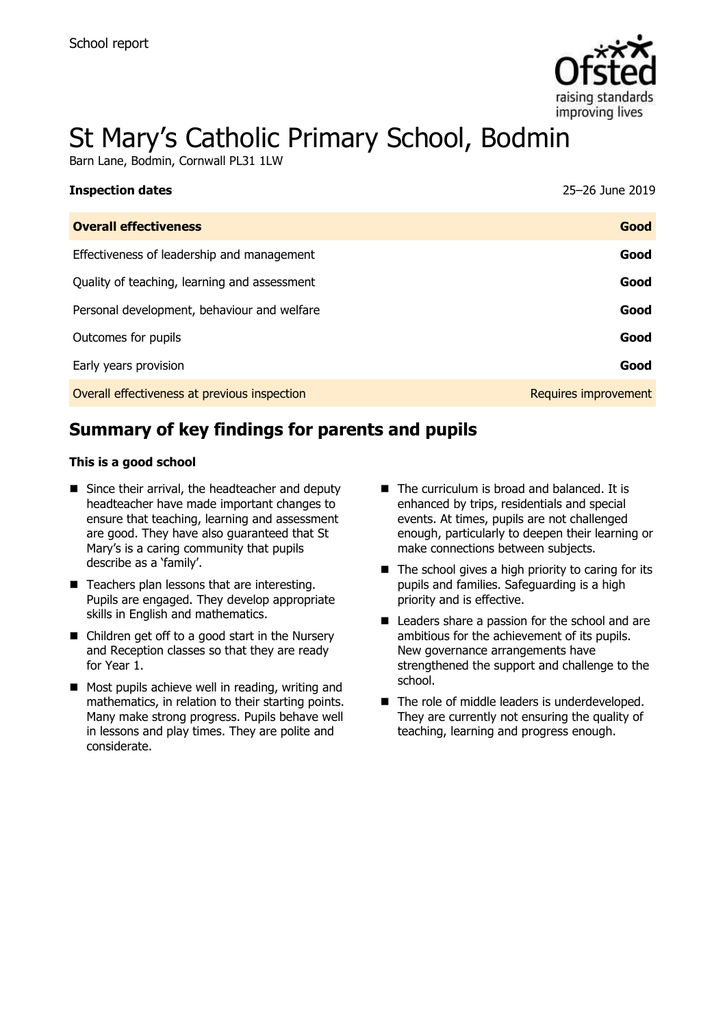

# St Mary's Catholic Primary School, Bodmin

Barn Lane, Bodmin, Cornwall PL31 1LW

| <b>Inspection dates</b>                      | 25-26 June 2019      |
|----------------------------------------------|----------------------|
| <b>Overall effectiveness</b>                 | Good                 |
| Effectiveness of leadership and management   | Good                 |
| Quality of teaching, learning and assessment | Good                 |
| Personal development, behaviour and welfare  | Good                 |
| Outcomes for pupils                          | Good                 |
| Early years provision                        | Good                 |
| Overall effectiveness at previous inspection | Requires improvement |

# **Summary of key findings for parents and pupils**

#### **This is a good school**

- Since their arrival, the headteacher and deputy headteacher have made important changes to ensure that teaching, learning and assessment are good. They have also guaranteed that St Mary's is a caring community that pupils describe as a 'family'.
- $\blacksquare$  Teachers plan lessons that are interesting. Pupils are engaged. They develop appropriate skills in English and mathematics.
- Children get off to a good start in the Nursery and Reception classes so that they are ready for Year 1.
- $\blacksquare$  Most pupils achieve well in reading, writing and mathematics, in relation to their starting points. Many make strong progress. Pupils behave well in lessons and play times. They are polite and considerate.
- $\blacksquare$  The curriculum is broad and balanced. It is enhanced by trips, residentials and special events. At times, pupils are not challenged enough, particularly to deepen their learning or make connections between subjects.
- $\blacksquare$  The school gives a high priority to caring for its pupils and families. Safeguarding is a high priority and is effective.
- Leaders share a passion for the school and are ambitious for the achievement of its pupils. New governance arrangements have strengthened the support and challenge to the school.
- The role of middle leaders is underdeveloped. They are currently not ensuring the quality of teaching, learning and progress enough.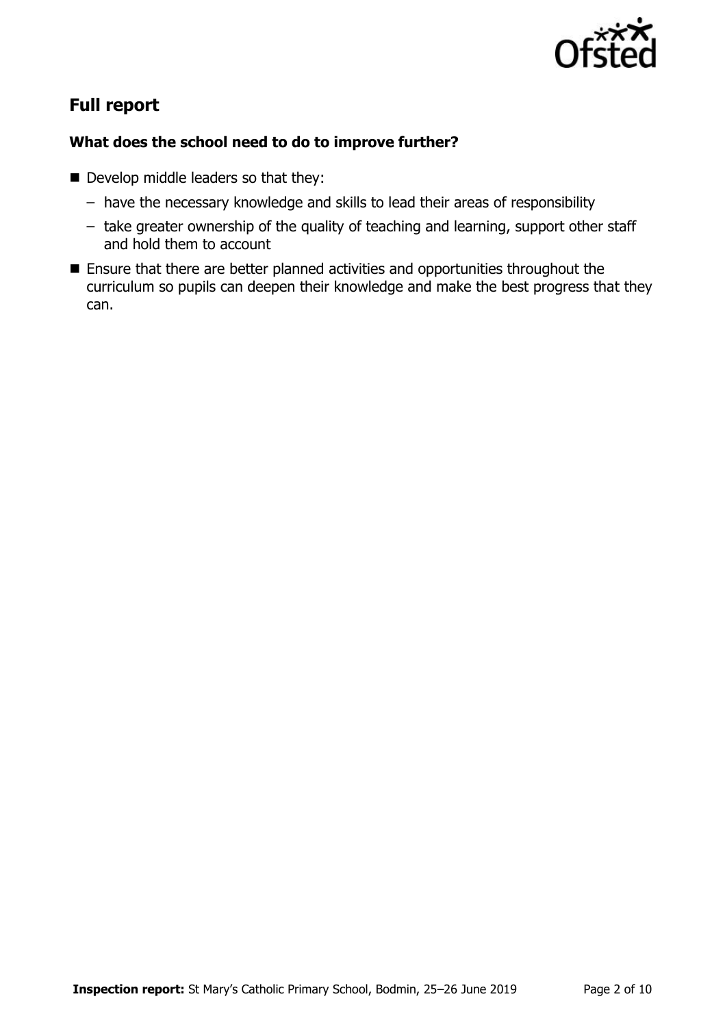

# **Full report**

### **What does the school need to do to improve further?**

- Develop middle leaders so that they:
	- have the necessary knowledge and skills to lead their areas of responsibility
	- take greater ownership of the quality of teaching and learning, support other staff and hold them to account
- **Ensure that there are better planned activities and opportunities throughout the** curriculum so pupils can deepen their knowledge and make the best progress that they can.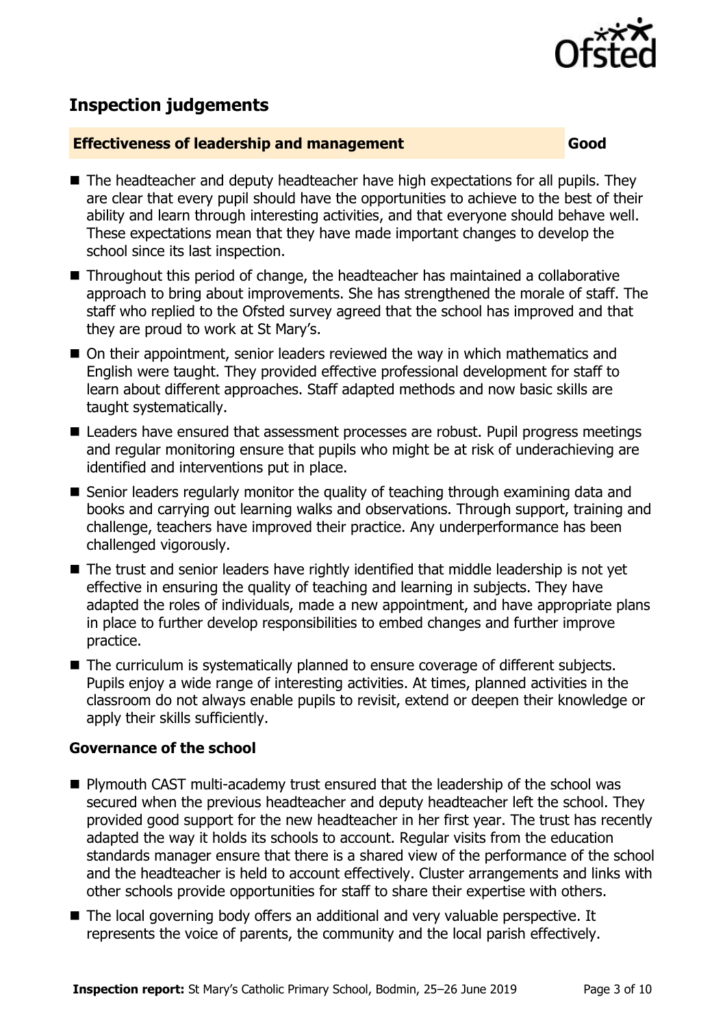

# **Inspection judgements**

#### **Effectiveness of leadership and management Good**

- The headteacher and deputy headteacher have high expectations for all pupils. They are clear that every pupil should have the opportunities to achieve to the best of their ability and learn through interesting activities, and that everyone should behave well. These expectations mean that they have made important changes to develop the school since its last inspection.
- Throughout this period of change, the headteacher has maintained a collaborative approach to bring about improvements. She has strengthened the morale of staff. The staff who replied to the Ofsted survey agreed that the school has improved and that they are proud to work at St Mary's.
- On their appointment, senior leaders reviewed the way in which mathematics and English were taught. They provided effective professional development for staff to learn about different approaches. Staff adapted methods and now basic skills are taught systematically.
- Leaders have ensured that assessment processes are robust. Pupil progress meetings and regular monitoring ensure that pupils who might be at risk of underachieving are identified and interventions put in place.
- Senior leaders regularly monitor the quality of teaching through examining data and books and carrying out learning walks and observations. Through support, training and challenge, teachers have improved their practice. Any underperformance has been challenged vigorously.
- The trust and senior leaders have rightly identified that middle leadership is not yet effective in ensuring the quality of teaching and learning in subjects. They have adapted the roles of individuals, made a new appointment, and have appropriate plans in place to further develop responsibilities to embed changes and further improve practice.
- The curriculum is systematically planned to ensure coverage of different subjects. Pupils enjoy a wide range of interesting activities. At times, planned activities in the classroom do not always enable pupils to revisit, extend or deepen their knowledge or apply their skills sufficiently.

#### **Governance of the school**

- Plymouth CAST multi-academy trust ensured that the leadership of the school was secured when the previous headteacher and deputy headteacher left the school. They provided good support for the new headteacher in her first year. The trust has recently adapted the way it holds its schools to account. Regular visits from the education standards manager ensure that there is a shared view of the performance of the school and the headteacher is held to account effectively. Cluster arrangements and links with other schools provide opportunities for staff to share their expertise with others.
- The local governing body offers an additional and very valuable perspective. It represents the voice of parents, the community and the local parish effectively.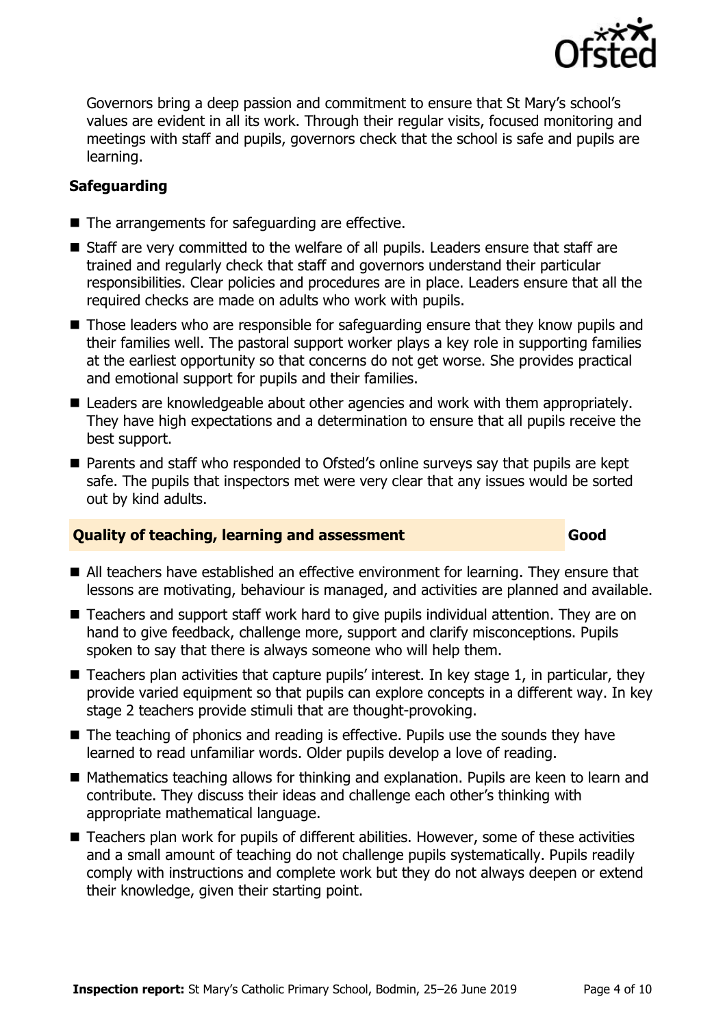

Governors bring a deep passion and commitment to ensure that St Mary's school's values are evident in all its work. Through their regular visits, focused monitoring and meetings with staff and pupils, governors check that the school is safe and pupils are learning.

#### **Safeguarding**

- $\blacksquare$  The arrangements for safeguarding are effective.
- Staff are very committed to the welfare of all pupils. Leaders ensure that staff are trained and regularly check that staff and governors understand their particular responsibilities. Clear policies and procedures are in place. Leaders ensure that all the required checks are made on adults who work with pupils.
- Those leaders who are responsible for safeguarding ensure that they know pupils and their families well. The pastoral support worker plays a key role in supporting families at the earliest opportunity so that concerns do not get worse. She provides practical and emotional support for pupils and their families.
- Leaders are knowledgeable about other agencies and work with them appropriately. They have high expectations and a determination to ensure that all pupils receive the best support.
- Parents and staff who responded to Ofsted's online surveys say that pupils are kept safe. The pupils that inspectors met were very clear that any issues would be sorted out by kind adults.

#### **Quality of teaching, learning and assessment Good**

- All teachers have established an effective environment for learning. They ensure that lessons are motivating, behaviour is managed, and activities are planned and available.
- Teachers and support staff work hard to give pupils individual attention. They are on hand to give feedback, challenge more, support and clarify misconceptions. Pupils spoken to say that there is always someone who will help them.
- $\blacksquare$  Teachers plan activities that capture pupils' interest. In key stage 1, in particular, they provide varied equipment so that pupils can explore concepts in a different way. In key stage 2 teachers provide stimuli that are thought-provoking.
- The teaching of phonics and reading is effective. Pupils use the sounds they have learned to read unfamiliar words. Older pupils develop a love of reading.
- Mathematics teaching allows for thinking and explanation. Pupils are keen to learn and contribute. They discuss their ideas and challenge each other's thinking with appropriate mathematical language.
- Teachers plan work for pupils of different abilities. However, some of these activities and a small amount of teaching do not challenge pupils systematically. Pupils readily comply with instructions and complete work but they do not always deepen or extend their knowledge, given their starting point.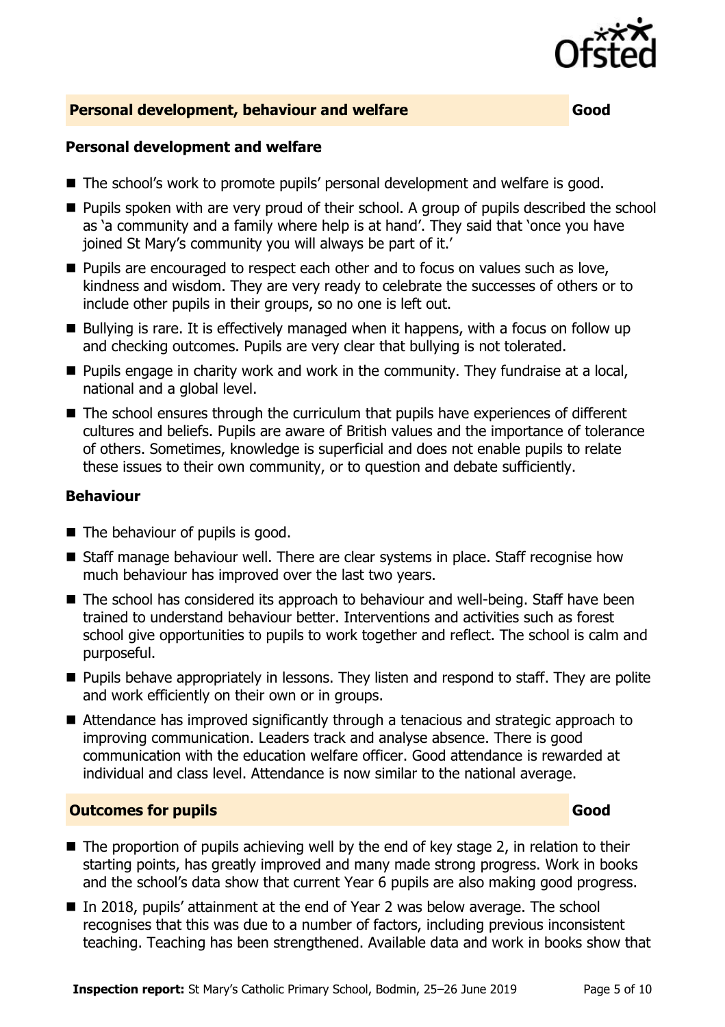

#### **Personal development, behaviour and welfare Good Good**

#### **Personal development and welfare**

- The school's work to promote pupils' personal development and welfare is good.
- **Pupils spoken with are very proud of their school. A group of pupils described the school** as 'a community and a family where help is at hand'. They said that 'once you have joined St Mary's community you will always be part of it.'
- **Pupils are encouraged to respect each other and to focus on values such as love,** kindness and wisdom. They are very ready to celebrate the successes of others or to include other pupils in their groups, so no one is left out.
- $\blacksquare$  Bullying is rare. It is effectively managed when it happens, with a focus on follow up and checking outcomes. Pupils are very clear that bullying is not tolerated.
- **Pupils engage in charity work and work in the community. They fundraise at a local,** national and a global level.
- The school ensures through the curriculum that pupils have experiences of different cultures and beliefs. Pupils are aware of British values and the importance of tolerance of others. Sometimes, knowledge is superficial and does not enable pupils to relate these issues to their own community, or to question and debate sufficiently.

#### **Behaviour**

- The behaviour of pupils is good.
- Staff manage behaviour well. There are clear systems in place. Staff recognise how much behaviour has improved over the last two years.
- The school has considered its approach to behaviour and well-being. Staff have been trained to understand behaviour better. Interventions and activities such as forest school give opportunities to pupils to work together and reflect. The school is calm and purposeful.
- **Pupils behave appropriately in lessons. They listen and respond to staff. They are polite** and work efficiently on their own or in groups.
- Attendance has improved significantly through a tenacious and strategic approach to improving communication. Leaders track and analyse absence. There is good communication with the education welfare officer. Good attendance is rewarded at individual and class level. Attendance is now similar to the national average.

#### **Outcomes for pupils Good**

- $\blacksquare$  The proportion of pupils achieving well by the end of key stage 2, in relation to their starting points, has greatly improved and many made strong progress. Work in books and the school's data show that current Year 6 pupils are also making good progress.
- In 2018, pupils' attainment at the end of Year 2 was below average. The school recognises that this was due to a number of factors, including previous inconsistent teaching. Teaching has been strengthened. Available data and work in books show that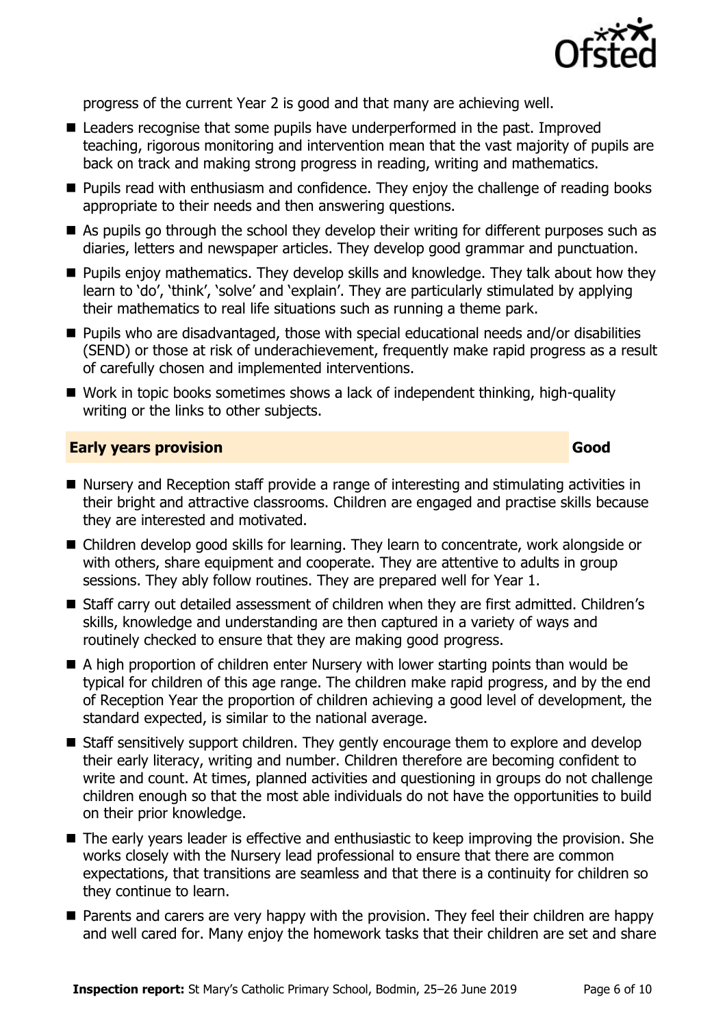

progress of the current Year 2 is good and that many are achieving well.

- Leaders recognise that some pupils have underperformed in the past. Improved teaching, rigorous monitoring and intervention mean that the vast majority of pupils are back on track and making strong progress in reading, writing and mathematics.
- **Pupils read with enthusiasm and confidence. They enjoy the challenge of reading books** appropriate to their needs and then answering questions.
- As pupils go through the school they develop their writing for different purposes such as diaries, letters and newspaper articles. They develop good grammar and punctuation.
- $\blacksquare$  Pupils enjoy mathematics. They develop skills and knowledge. They talk about how they learn to 'do', 'think', 'solve' and 'explain'. They are particularly stimulated by applying their mathematics to real life situations such as running a theme park.
- Pupils who are disadvantaged, those with special educational needs and/or disabilities (SEND) or those at risk of underachievement, frequently make rapid progress as a result of carefully chosen and implemented interventions.
- Work in topic books sometimes shows a lack of independent thinking, high-quality writing or the links to other subjects.

#### **Early years provision Good Good**

- Nursery and Reception staff provide a range of interesting and stimulating activities in their bright and attractive classrooms. Children are engaged and practise skills because they are interested and motivated.
- Children develop good skills for learning. They learn to concentrate, work alongside or with others, share equipment and cooperate. They are attentive to adults in group sessions. They ably follow routines. They are prepared well for Year 1.
- Staff carry out detailed assessment of children when they are first admitted. Children's skills, knowledge and understanding are then captured in a variety of ways and routinely checked to ensure that they are making good progress.
- A high proportion of children enter Nursery with lower starting points than would be typical for children of this age range. The children make rapid progress, and by the end of Reception Year the proportion of children achieving a good level of development, the standard expected, is similar to the national average.
- Staff sensitively support children. They gently encourage them to explore and develop their early literacy, writing and number. Children therefore are becoming confident to write and count. At times, planned activities and questioning in groups do not challenge children enough so that the most able individuals do not have the opportunities to build on their prior knowledge.
- The early years leader is effective and enthusiastic to keep improving the provision. She works closely with the Nursery lead professional to ensure that there are common expectations, that transitions are seamless and that there is a continuity for children so they continue to learn.
- **Parents and carers are very happy with the provision. They feel their children are happy** and well cared for. Many enjoy the homework tasks that their children are set and share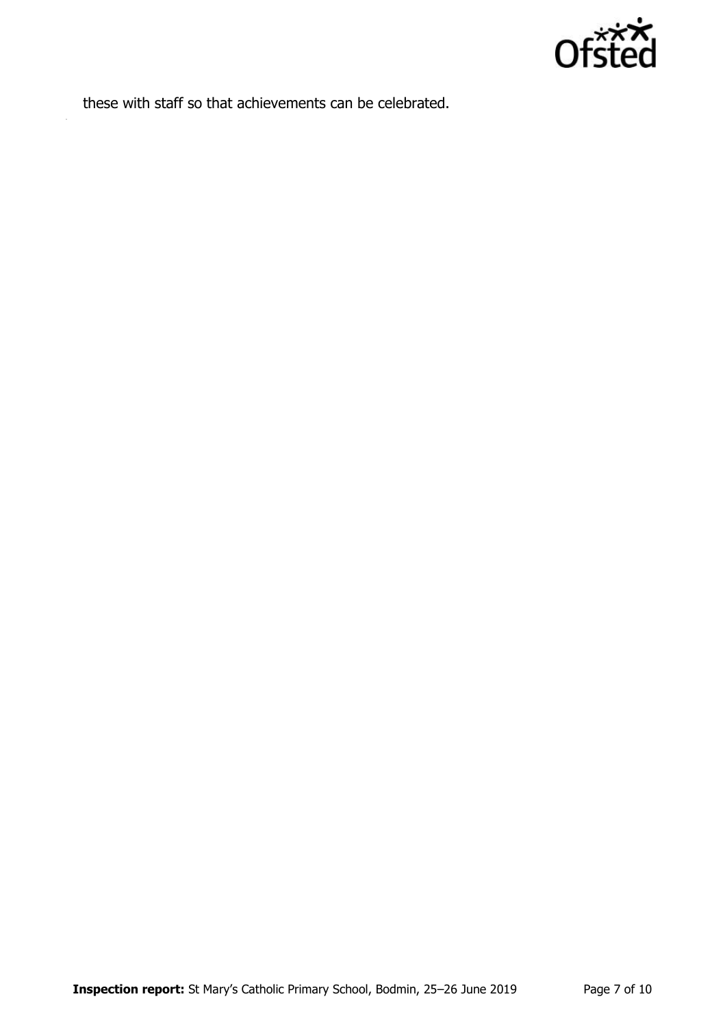

these with staff so that achievements can be celebrated.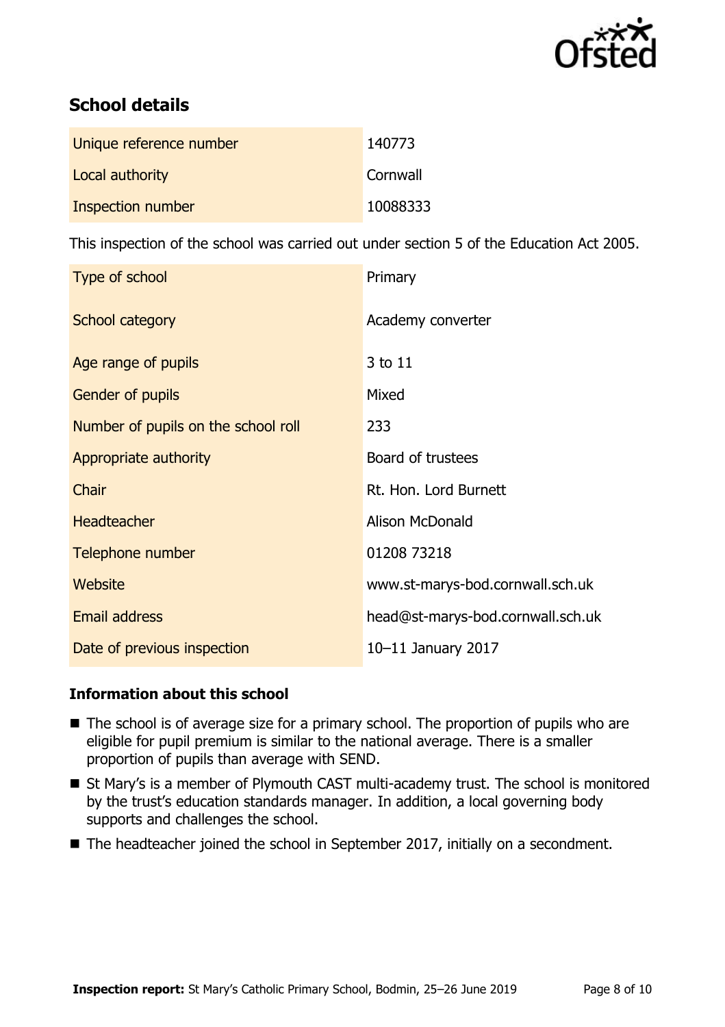

# **School details**

| Unique reference number | 140773   |
|-------------------------|----------|
| Local authority         | Cornwall |
| Inspection number       | 10088333 |

This inspection of the school was carried out under section 5 of the Education Act 2005.

| Type of school                      | Primary                           |
|-------------------------------------|-----------------------------------|
| School category                     | Academy converter                 |
| Age range of pupils                 | 3 to 11                           |
| Gender of pupils                    | Mixed                             |
| Number of pupils on the school roll | 233                               |
| Appropriate authority               | Board of trustees                 |
| Chair                               | Rt. Hon. Lord Burnett             |
| <b>Headteacher</b>                  | <b>Alison McDonald</b>            |
| Telephone number                    | 01208 73218                       |
| Website                             | www.st-marys-bod.cornwall.sch.uk  |
| <b>Email address</b>                | head@st-marys-bod.cornwall.sch.uk |
| Date of previous inspection         | 10-11 January 2017                |

### **Information about this school**

- The school is of average size for a primary school. The proportion of pupils who are eligible for pupil premium is similar to the national average. There is a smaller proportion of pupils than average with SEND.
- St Mary's is a member of Plymouth CAST multi-academy trust. The school is monitored by the trust's education standards manager. In addition, a local governing body supports and challenges the school.
- The headteacher joined the school in September 2017, initially on a secondment.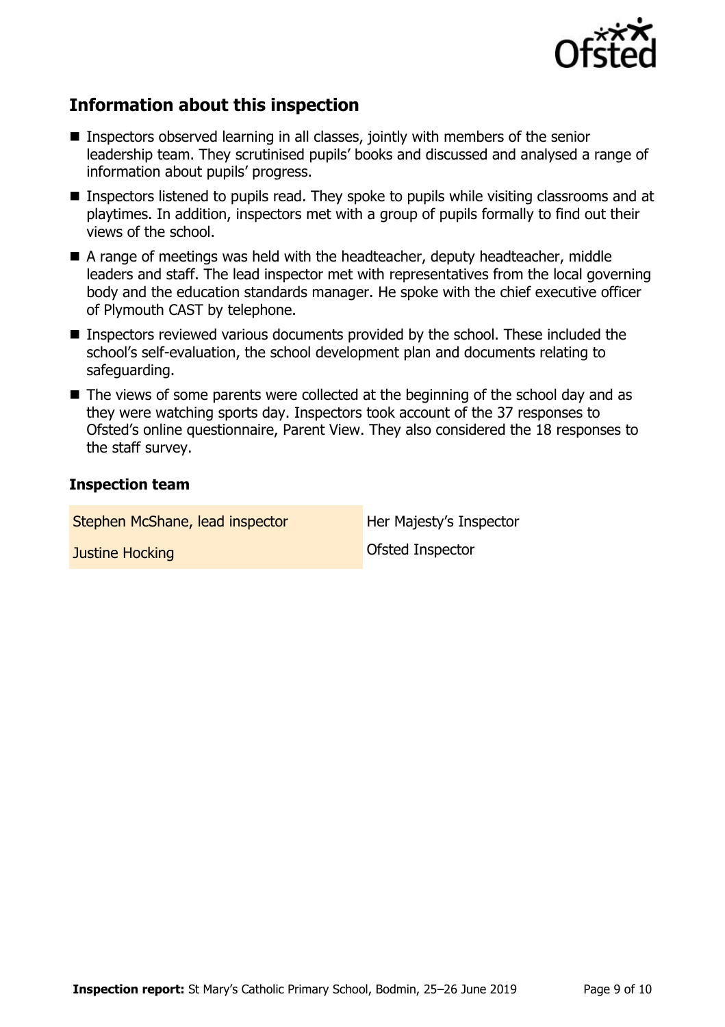

# **Information about this inspection**

- Inspectors observed learning in all classes, jointly with members of the senior leadership team. They scrutinised pupils' books and discussed and analysed a range of information about pupils' progress.
- Inspectors listened to pupils read. They spoke to pupils while visiting classrooms and at playtimes. In addition, inspectors met with a group of pupils formally to find out their views of the school.
- A range of meetings was held with the headteacher, deputy headteacher, middle leaders and staff. The lead inspector met with representatives from the local governing body and the education standards manager. He spoke with the chief executive officer of Plymouth CAST by telephone.
- Inspectors reviewed various documents provided by the school. These included the school's self-evaluation, the school development plan and documents relating to safeguarding.
- $\blacksquare$  The views of some parents were collected at the beginning of the school day and as they were watching sports day. Inspectors took account of the 37 responses to Ofsted's online questionnaire, Parent View. They also considered the 18 responses to the staff survey.

#### **Inspection team**

| Stephen McShane, lead inspector | Her Majesty's Inspector |
|---------------------------------|-------------------------|
| Justine Hocking                 | <b>Ofsted Inspector</b> |